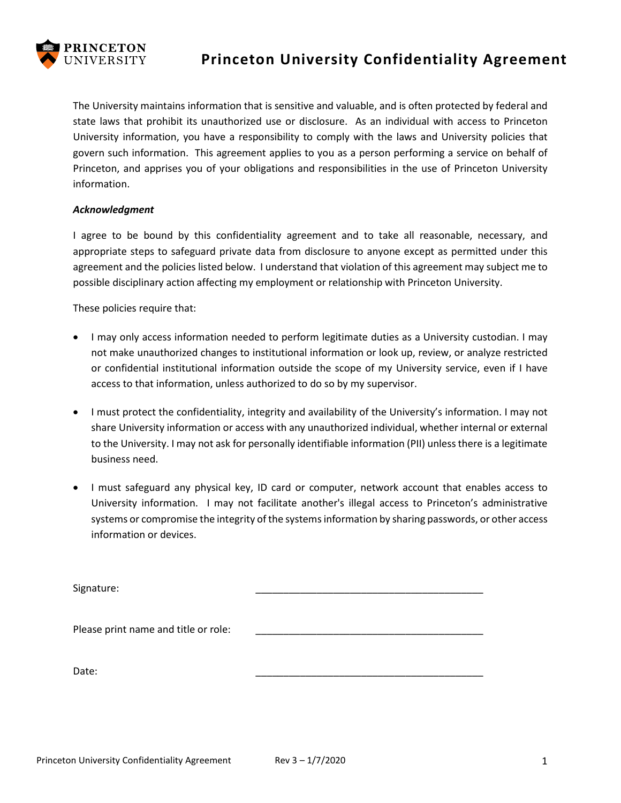

## **Princeton University Confidentiality Agreement**

The University maintains information that is sensitive and valuable, and is often protected by federal and state laws that prohibit its unauthorized use or disclosure. As an individual with access to Princeton University information, you have a responsibility to comply with the laws and University policies that govern such information. This agreement applies to you as a person performing a service on behalf of Princeton, and apprises you of your obligations and responsibilities in the use of Princeton University information.

## *Acknowledgment*

I agree to be bound by this confidentiality agreement and to take all reasonable, necessary, and appropriate steps to safeguard private data from disclosure to anyone except as permitted under this agreement and the policies listed below. I understand that violation of this agreement may subject me to possible disciplinary action affecting my employment or relationship with Princeton University.

These policies require that:

- I may only access information needed to perform legitimate duties as a University custodian. I may not make unauthorized changes to institutional information or look up, review, or analyze restricted or confidential institutional information outside the scope of my University service, even if I have access to that information, unless authorized to do so by my supervisor.
- I must protect the confidentiality, integrity and availability of the University's information. I may not share University information or access with any unauthorized individual, whether internal or external to the University. I may not ask for personally identifiable information (PII) unless there is a legitimate business need.
- I must safeguard any physical key, ID card or computer, network account that enables access to University information. I may not facilitate another's illegal access to Princeton's administrative systems or compromise the integrity of the systems information by sharing passwords, or other access information or devices.

| Signature:                           |  |
|--------------------------------------|--|
|                                      |  |
|                                      |  |
| Please print name and title or role: |  |
|                                      |  |
|                                      |  |
| Date:                                |  |
|                                      |  |